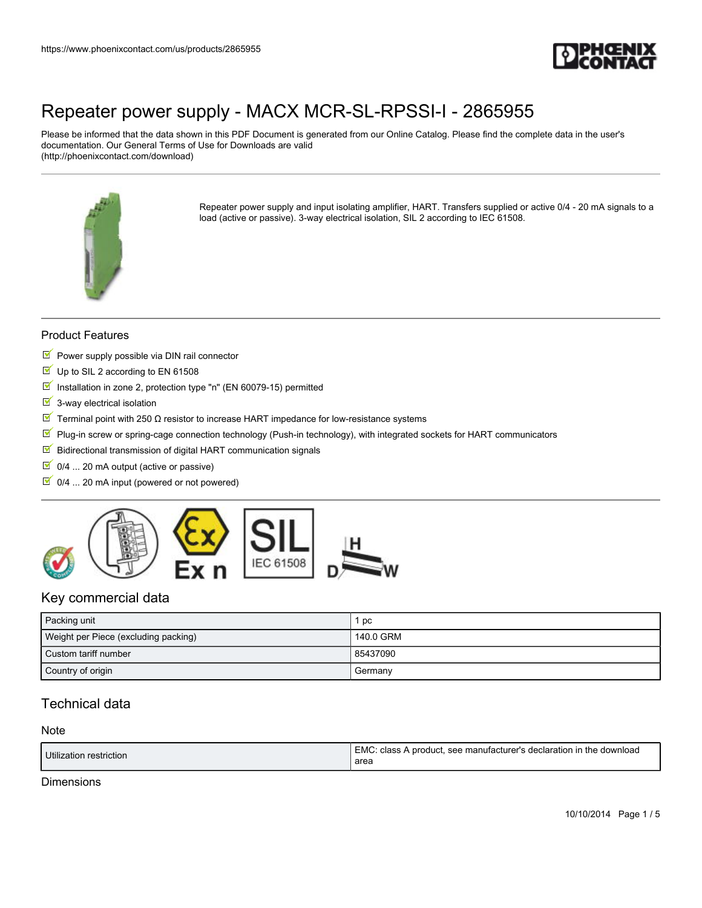

Please be informed that the data shown in this PDF Document is generated from our Online Catalog. Please find the complete data in the user's documentation. Our General Terms of Use for Downloads are valid (http://phoenixcontact.com/download)



Repeater power supply and input isolating amplifier, HART. Transfers supplied or active 0/4 - 20 mA signals to a load (active or passive). 3-way electrical isolation, SIL 2 according to IEC 61508.

### Product Features

- $\blacksquare$  Power supply possible via DIN rail connector
- Up to SIL 2 according to EN 61508
- $\blacksquare$  Installation in zone 2, protection type "n" (EN 60079-15) permitted
- $\overline{\mathbb{I}}$  3-way electrical isolation
- $\overline{\mathbb{M}}$  Terminal point with 250 Ω resistor to increase HART impedance for low-resistance systems
- $\mathbb F$  Plug-in screw or spring-cage connection technology (Push-in technology), with integrated sockets for HART communicators
- $\blacksquare$  Bidirectional transmission of digital HART communication signals
- $\boxed{9}$  0/4 ... 20 mA output (active or passive)
- $\boxed{\blacksquare}$  0/4 ... 20 mA input (powered or not powered)



## Key commercial data

| Packing unit                         | pc        |
|--------------------------------------|-----------|
| Weight per Piece (excluding packing) | 140.0 GRM |
| Custom tariff number                 | 85437090  |
| Country of origin                    | Germany   |

## Technical data

#### Note

| Utilization restriction | (EMC: class A product, see manufacturer's declaration in the download |
|-------------------------|-----------------------------------------------------------------------|
|                         | area                                                                  |

### Dimensions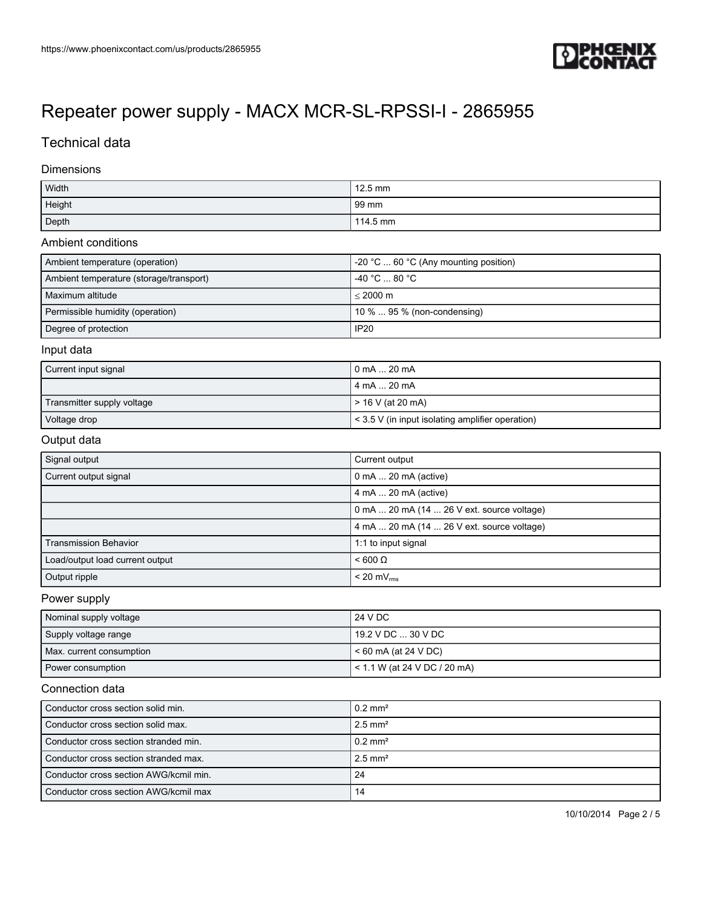

## Technical data

#### Dimensions

| Width  | $12.5$ mm |
|--------|-----------|
| Height | 99 mm     |
| Depth  | 114.5 mm  |

#### Ambient conditions

| Ambient temperature (operation)         | $-20$ °C $\dots$ 60 °C (Any mounting position) |
|-----------------------------------------|------------------------------------------------|
| Ambient temperature (storage/transport) | ∣ -40 °C … 80 °C .                             |
| Maximum altitude                        | $< 2000 \text{ m}$                             |
| Permissible humidity (operation)        | $10\%$ 95 % (non-condensing)                   |
| Degree of protection                    | <b>IP20</b>                                    |

#### Input data

| Current input signal       | 0 mA  20 mA                                           |
|----------------------------|-------------------------------------------------------|
|                            | 4 mA  20 mA                                           |
| Transmitter supply voltage | > 16 V (at 20 mA)                                     |
| Voltage drop               | $\leq$ 3.5 V (in input isolating amplifier operation) |

### Output data

| Signal output                   | Current output                             |
|---------------------------------|--------------------------------------------|
| Current output signal           | $0$ mA $\dots$ 20 mA (active)              |
|                                 | 4 mA  20 mA (active)                       |
|                                 | 0 mA  20 mA (14  26 V ext. source voltage) |
|                                 | 4 mA  20 mA (14  26 V ext. source voltage) |
| <b>Transmission Behavior</b>    | 1:1 to input signal                        |
| Load/output load current output | $< 600 \Omega$                             |
| Output ripple                   | $< 20$ mV $_{rms}$                         |

### Power supply

| Nominal supply voltage   | 24 V DC                      |
|--------------------------|------------------------------|
| Supply voltage range     | 19.2 V DC  30 V DC .         |
| Max. current consumption | < 60 mA (at 24 V DC)         |
| Power consumption        | < 1.1 W (at 24 V DC / 20 mA) |

### Connection data

| Conductor cross section solid min.     | $0.2 \text{ mm}^2$    |
|----------------------------------------|-----------------------|
| Conductor cross section solid max.     | $2.5$ mm <sup>2</sup> |
| Conductor cross section stranded min.  | $0.2$ mm <sup>2</sup> |
| Conductor cross section stranded max.  | $2.5$ mm <sup>2</sup> |
| Conductor cross section AWG/kcmil min. | 24                    |
| Conductor cross section AWG/kcmil max  | 14                    |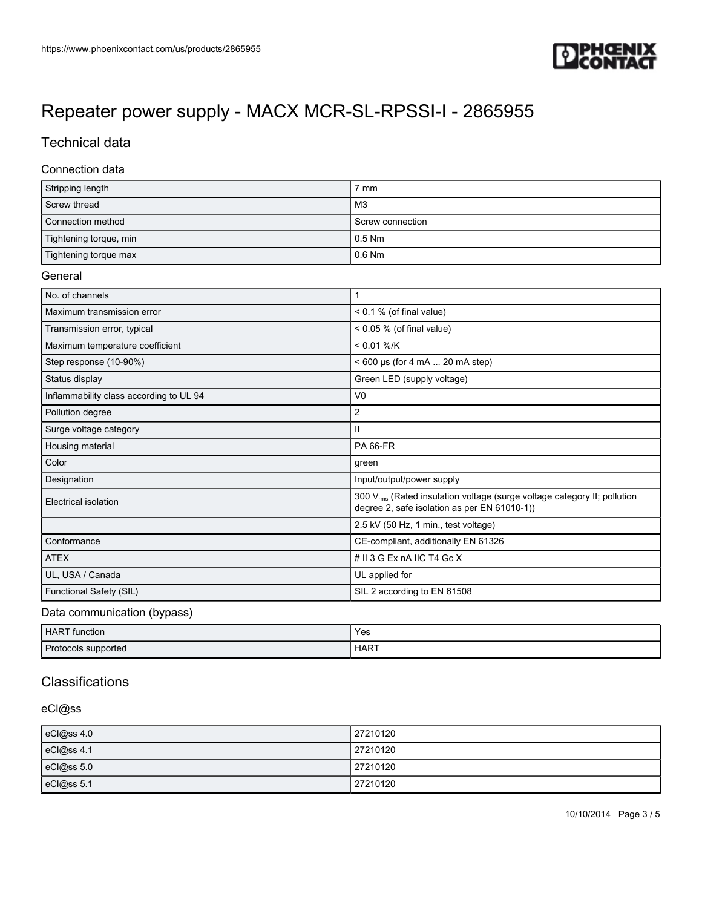

# Technical data

#### Connection data

| Stripping length       | ' mm             |
|------------------------|------------------|
| Screw thread           | M3               |
| Connection method      | Screw connection |
| Tightening torque, min | $0.5$ Nm         |
| Tightening torque max  | 0.6 Nm           |

#### General

| No. of channels                         |                                                                                                                                      |
|-----------------------------------------|--------------------------------------------------------------------------------------------------------------------------------------|
| Maximum transmission error              | $< 0.1 %$ (of final value)                                                                                                           |
| Transmission error, typical             | $< 0.05 %$ (of final value)                                                                                                          |
| Maximum temperature coefficient         | $< 0.01 %$ /K                                                                                                                        |
| Step response (10-90%)                  | < 600 us (for 4 mA  20 mA step)                                                                                                      |
| Status display                          | Green LED (supply voltage)                                                                                                           |
| Inflammability class according to UL 94 | V <sub>0</sub>                                                                                                                       |
| Pollution degree                        | 2                                                                                                                                    |
| Surge voltage category                  | $\mathbf{II}$                                                                                                                        |
| Housing material                        | <b>PA 66-FR</b>                                                                                                                      |
| Color                                   | green                                                                                                                                |
| Designation                             | Input/output/power supply                                                                                                            |
| Electrical isolation                    | 300 V <sub>rms</sub> (Rated insulation voltage (surge voltage category II; pollution<br>degree 2, safe isolation as per EN 61010-1)) |
|                                         | 2.5 kV (50 Hz, 1 min., test voltage)                                                                                                 |
| Conformance                             | CE-compliant, additionally EN 61326                                                                                                  |
| <b>ATEX</b>                             | # II 3 G Ex nA IIC T4 Gc X                                                                                                           |
| UL, USA / Canada                        | UL applied for                                                                                                                       |
| Functional Safety (SIL)                 | SIL 2 according to EN 61508                                                                                                          |

### Data communication (bypass)

| <b>HART</b> function | Yes         |
|----------------------|-------------|
| Protocols supported  | <b>HART</b> |

## **Classifications**

## eCl@ss

| eCl@ss 4.0 | 27210120 |
|------------|----------|
| eCl@ss 4.1 | 27210120 |
| eCl@ss 5.0 | 27210120 |
| eCl@ss 5.1 | 27210120 |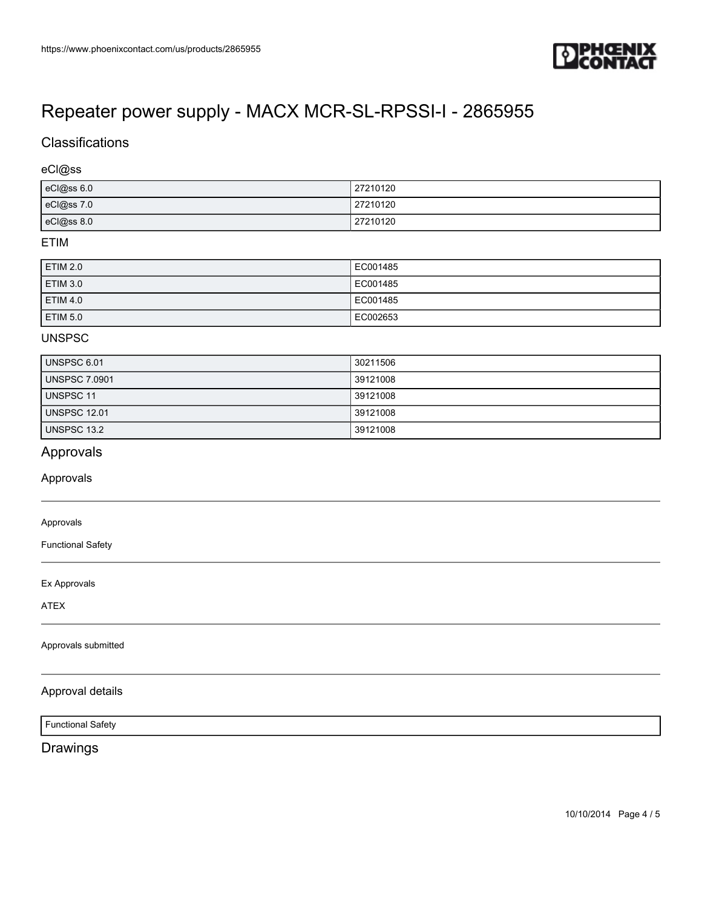

## **Classifications**

### eCl@ss

| eCl@ss 6.0 | 27210120 |
|------------|----------|
| eCl@ss 7.0 | 27210120 |
| eCl@ss 8.0 | 27210120 |

### ETIM

| ETIM 2.0        | EC001485 |
|-----------------|----------|
| ETIM 3.0        | EC001485 |
| <b>ETIM 4.0</b> | EC001485 |
| ETIM 5.0        | EC002653 |

### UNSPSC

| UNSPSC 6.01          | 30211506 |
|----------------------|----------|
| <b>UNSPSC 7.0901</b> | 39121008 |
| <b>UNSPSC 11</b>     | 39121008 |
| <b>UNSPSC 12.01</b>  | 39121008 |
| <b>UNSPSC 13.2</b>   | 39121008 |

## Approvals

### Approvals

### Approvals

Functional Safety

Ex Approvals

ATEX

#### Approvals submitted

#### Approval details

Functional Safety

## Drawings